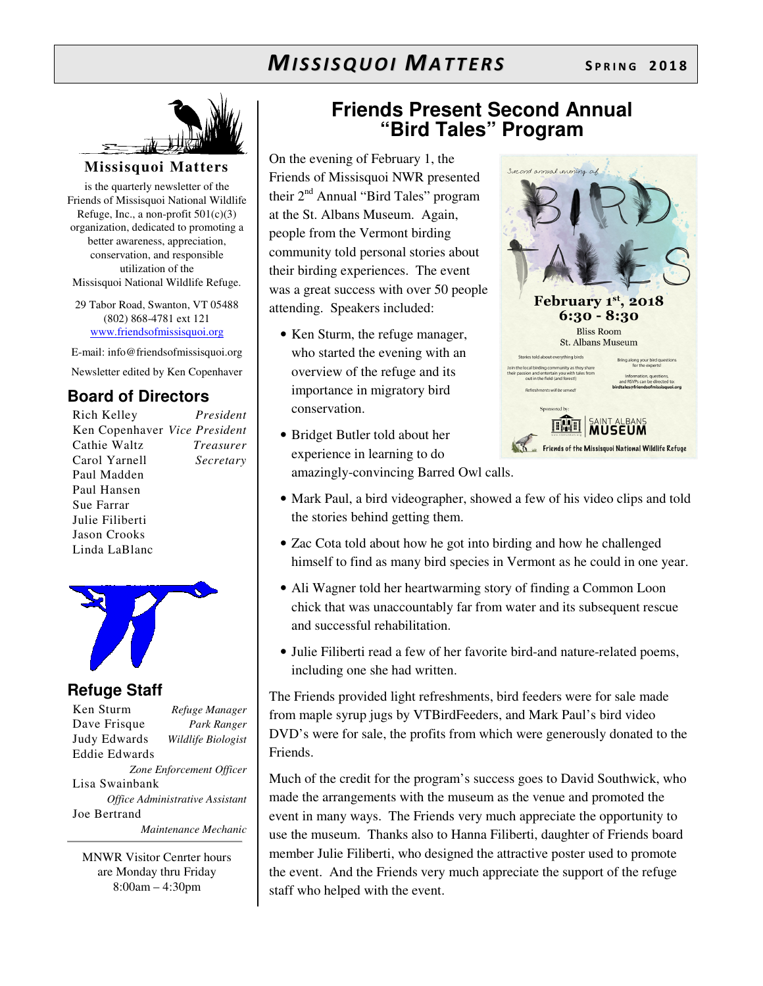

### **Missisquoi Matters**

is the quarterly newsletter of the Friends of Missisquoi National Wildlife Refuge, Inc., a non-profit  $501(c)(3)$ organization, dedicated to promoting a better awareness, appreciation, conservation, and responsible utilization of the Missisquoi National Wildlife Refuge.

29 Tabor Road, Swanton, VT 05488 (802) 868-4781 ext 121 www.friendsofmissisquoi.org

E-mail: info@friendsofmissisquoi.org

Newsletter edited by Ken Copenhaver

## **Board of Directors**

Rich Kelley *President* Ken Copenhaver *Vice President* Cathie Waltz *Treasurer* Carol Yarnell *Secretary*  Paul Madden Paul Hansen Sue Farrar Julie Filiberti Jason Crooks Linda LaBlanc



## **Refuge Staff**

Ken Sturm *Refuge Manager* Dave Frisque *Park Ranger* Judy Edwards *Wildlife Biologist* Eddie Edwards *Zone Enforcement Officer* Lisa Swainbank *Office Administrative Assistant*  Joe Bertrand  *Maintenance Mechanic*

MNWR Visitor Cenrter hours are Monday thru Friday 8:00am – 4:30pm

## **Friends Present Second Annual "Bird Tales" Program**

Second annual evening

On the evening of February 1, the Friends of Missisquoi NWR presented their 2<sup>nd</sup> Annual "Bird Tales" program at the St. Albans Museum. Again, people from the Vermont birding community told personal stories about their birding experiences. The event was a great success with over 50 people attending. Speakers included:

- Ken Sturm, the refuge manager, who started the evening with an overview of the refuge and its importance in migratory bird conservation.
	- Refreshments will be served! Sponsored by



- Bridget Butler told about her experience in learning to do amazingly-convincing Barred Owl calls.
- Mark Paul, a bird videographer, showed a few of his video clips and told the stories behind getting them.
- Zac Cota told about how he got into birding and how he challenged himself to find as many bird species in Vermont as he could in one year.
- Ali Wagner told her heartwarming story of finding a Common Loon chick that was unaccountably far from water and its subsequent rescue and successful rehabilitation.
- Julie Filiberti read a few of her favorite bird-and nature-related poems, including one she had written.

The Friends provided light refreshments, bird feeders were for sale made from maple syrup jugs by VTBirdFeeders, and Mark Paul's bird video DVD's were for sale, the profits from which were generously donated to the Friends.

Much of the credit for the program's success goes to David Southwick, who made the arrangements with the museum as the venue and promoted the event in many ways. The Friends very much appreciate the opportunity to use the museum. Thanks also to Hanna Filiberti, daughter of Friends board member Julie Filiberti, who designed the attractive poster used to promote the event. And the Friends very much appreciate the support of the refuge staff who helped with the event.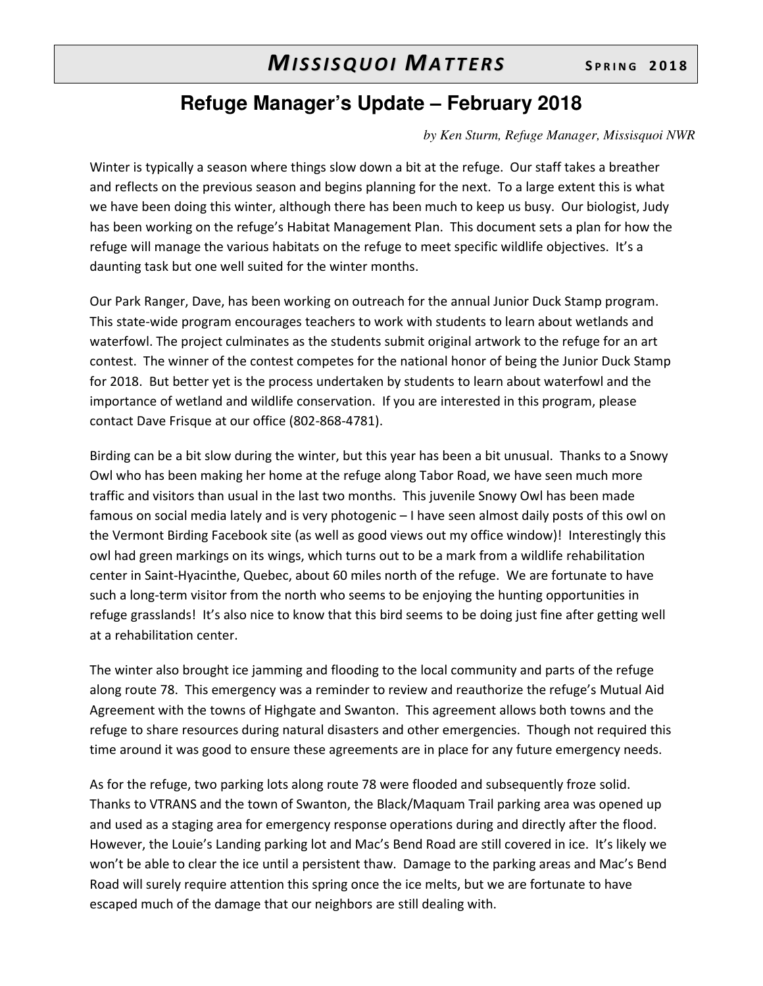## **Refuge Manager's Update – February 2018**

*by Ken Sturm, Refuge Manager, Missisquoi NWR* 

Winter is typically a season where things slow down a bit at the refuge. Our staff takes a breather and reflects on the previous season and begins planning for the next. To a large extent this is what we have been doing this winter, although there has been much to keep us busy. Our biologist, Judy has been working on the refuge's Habitat Management Plan. This document sets a plan for how the refuge will manage the various habitats on the refuge to meet specific wildlife objectives. It's a daunting task but one well suited for the winter months.

Our Park Ranger, Dave, has been working on outreach for the annual Junior Duck Stamp program. This state-wide program encourages teachers to work with students to learn about wetlands and waterfowl. The project culminates as the students submit original artwork to the refuge for an art contest. The winner of the contest competes for the national honor of being the Junior Duck Stamp for 2018. But better yet is the process undertaken by students to learn about waterfowl and the importance of wetland and wildlife conservation. If you are interested in this program, please contact Dave Frisque at our office (802-868-4781).

Birding can be a bit slow during the winter, but this year has been a bit unusual. Thanks to a Snowy Owl who has been making her home at the refuge along Tabor Road, we have seen much more traffic and visitors than usual in the last two months. This juvenile Snowy Owl has been made famous on social media lately and is very photogenic – I have seen almost daily posts of this owl on the Vermont Birding Facebook site (as well as good views out my office window)! Interestingly this owl had green markings on its wings, which turns out to be a mark from a wildlife rehabilitation center in Saint-Hyacinthe, Quebec, about 60 miles north of the refuge. We are fortunate to have such a long-term visitor from the north who seems to be enjoying the hunting opportunities in refuge grasslands! It's also nice to know that this bird seems to be doing just fine after getting well at a rehabilitation center.

The winter also brought ice jamming and flooding to the local community and parts of the refuge along route 78. This emergency was a reminder to review and reauthorize the refuge's Mutual Aid Agreement with the towns of Highgate and Swanton. This agreement allows both towns and the refuge to share resources during natural disasters and other emergencies. Though not required this time around it was good to ensure these agreements are in place for any future emergency needs.

As for the refuge, two parking lots along route 78 were flooded and subsequently froze solid. Thanks to VTRANS and the town of Swanton, the Black/Maquam Trail parking area was opened up and used as a staging area for emergency response operations during and directly after the flood. However, the Louie's Landing parking lot and Mac's Bend Road are still covered in ice. It's likely we won't be able to clear the ice until a persistent thaw. Damage to the parking areas and Mac's Bend Road will surely require attention this spring once the ice melts, but we are fortunate to have escaped much of the damage that our neighbors are still dealing with.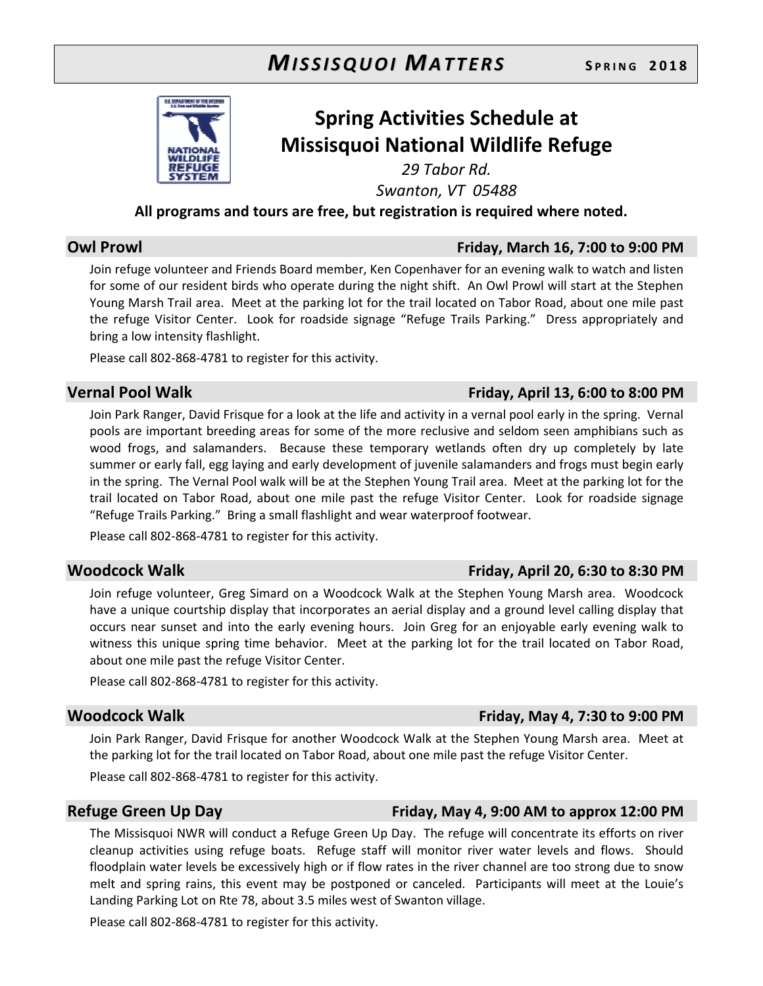

## **Spring Activities Schedule at Missisquoi National Wildlife Refuge**

*29 Tabor Rd.* 

*Swanton, VT 05488* 

**All programs and tours are free, but registration is required where noted.** 

## **Owl Prowl Friday, March 16, 7:00 to 9:00 PM**

Join refuge volunteer and Friends Board member, Ken Copenhaver for an evening walk to watch and listen for some of our resident birds who operate during the night shift. An Owl Prowl will start at the Stephen Young Marsh Trail area. Meet at the parking lot for the trail located on Tabor Road, about one mile past the refuge Visitor Center. Look for roadside signage "Refuge Trails Parking." Dress appropriately and bring a low intensity flashlight.

Please call 802-868-4781 to register for this activity.

## **Vernal Pool Walk Friday, April 13, 6:00 to 8:00 PM**

Join Park Ranger, David Frisque for a look at the life and activity in a vernal pool early in the spring. Vernal pools are important breeding areas for some of the more reclusive and seldom seen amphibians such as wood frogs, and salamanders. Because these temporary wetlands often dry up completely by late summer or early fall, egg laying and early development of juvenile salamanders and frogs must begin early in the spring. The Vernal Pool walk will be at the Stephen Young Trail area. Meet at the parking lot for the trail located on Tabor Road, about one mile past the refuge Visitor Center. Look for roadside signage "Refuge Trails Parking." Bring a small flashlight and wear waterproof footwear.

Please call 802-868-4781 to register for this activity.

## **Woodcock Walk Friday, April 20, 6:30 to 8:30 PM**

Join refuge volunteer, Greg Simard on a Woodcock Walk at the Stephen Young Marsh area. Woodcock have a unique courtship display that incorporates an aerial display and a ground level calling display that occurs near sunset and into the early evening hours. Join Greg for an enjoyable early evening walk to witness this unique spring time behavior. Meet at the parking lot for the trail located on Tabor Road, about one mile past the refuge Visitor Center.

Please call 802-868-4781 to register for this activity.

### **Woodcock Walk Friday, May 4, 7:30 to 9:00 PM**

Join Park Ranger, David Frisque for another Woodcock Walk at the Stephen Young Marsh area. Meet at the parking lot for the trail located on Tabor Road, about one mile past the refuge Visitor Center.

Please call 802-868-4781 to register for this activity.

## **Refuge Green Up Day Friday, May 4, 9:00 AM to approx 12:00 PM**

The Missisquoi NWR will conduct a Refuge Green Up Day. The refuge will concentrate its efforts on river cleanup activities using refuge boats. Refuge staff will monitor river water levels and flows. Should floodplain water levels be excessively high or if flow rates in the river channel are too strong due to snow melt and spring rains, this event may be postponed or canceled. Participants will meet at the Louie's Landing Parking Lot on Rte 78, about 3.5 miles west of Swanton village.

Please call 802-868-4781 to register for this activity.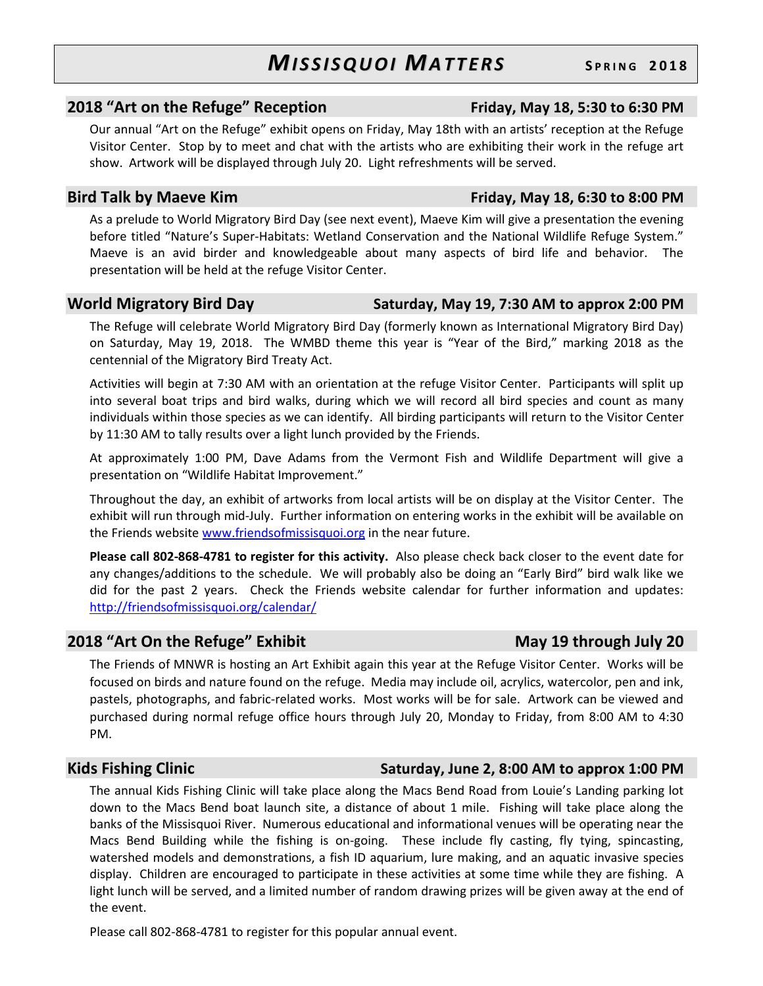### **2018 "Art on the Refuge" Reception Friday, May 18, 5:30 to 6:30 PM**

Our annual "Art on the Refuge" exhibit opens on Friday, May 18th with an artists' reception at the Refuge Visitor Center. Stop by to meet and chat with the artists who are exhibiting their work in the refuge art show. Artwork will be displayed through July 20. Light refreshments will be served.

### **Bird Talk by Maeve Kim Friday, May 18, 6:30 to 8:00 PM**

As a prelude to World Migratory Bird Day (see next event), Maeve Kim will give a presentation the evening before titled "Nature's Super-Habitats: Wetland Conservation and the National Wildlife Refuge System." Maeve is an avid birder and knowledgeable about many aspects of bird life and behavior. The presentation will be held at the refuge Visitor Center.

### **World Migratory Bird Day Saturday, May 19, 7:30 AM to approx 2:00 PM**

The Refuge will celebrate World Migratory Bird Day (formerly known as International Migratory Bird Day) on Saturday, May 19, 2018. The WMBD theme this year is "Year of the Bird," marking 2018 as the centennial of the Migratory Bird Treaty Act.

Activities will begin at 7:30 AM with an orientation at the refuge Visitor Center. Participants will split up into several boat trips and bird walks, during which we will record all bird species and count as many individuals within those species as we can identify. All birding participants will return to the Visitor Center by 11:30 AM to tally results over a light lunch provided by the Friends.

At approximately 1:00 PM, Dave Adams from the Vermont Fish and Wildlife Department will give a presentation on "Wildlife Habitat Improvement."

Throughout the day, an exhibit of artworks from local artists will be on display at the Visitor Center. The exhibit will run through mid-July. Further information on entering works in the exhibit will be available on the Friends website www.friendsofmissisquoi.org in the near future.

**Please call 802-868-4781 to register for this activity.** Also please check back closer to the event date for any changes/additions to the schedule. We will probably also be doing an "Early Bird" bird walk like we did for the past 2 years. Check the Friends website calendar for further information and updates: http://friendsofmissisquoi.org/calendar/

## **2018 "Art On the Refuge" Exhibit May 19 through July 20 and May 19 through July 20**

The Friends of MNWR is hosting an Art Exhibit again this year at the Refuge Visitor Center. Works will be focused on birds and nature found on the refuge. Media may include oil, acrylics, watercolor, pen and ink, pastels, photographs, and fabric-related works. Most works will be for sale. Artwork can be viewed and

PM.

### **Kids Fishing Clinic Saturday, June 2, 8:00 AM to approx 1:00 PM**

The annual Kids Fishing Clinic will take place along the Macs Bend Road from Louie's Landing parking lot down to the Macs Bend boat launch site, a distance of about 1 mile. Fishing will take place along the banks of the Missisquoi River. Numerous educational and informational venues will be operating near the Macs Bend Building while the fishing is on-going. These include fly casting, fly tying, spincasting, watershed models and demonstrations, a fish ID aquarium, lure making, and an aquatic invasive species display. Children are encouraged to participate in these activities at some time while they are fishing. A light lunch will be served, and a limited number of random drawing prizes will be given away at the end of the event.

purchased during normal refuge office hours through July 20, Monday to Friday, from 8:00 AM to 4:30

Please call 802-868-4781 to register for this popular annual event.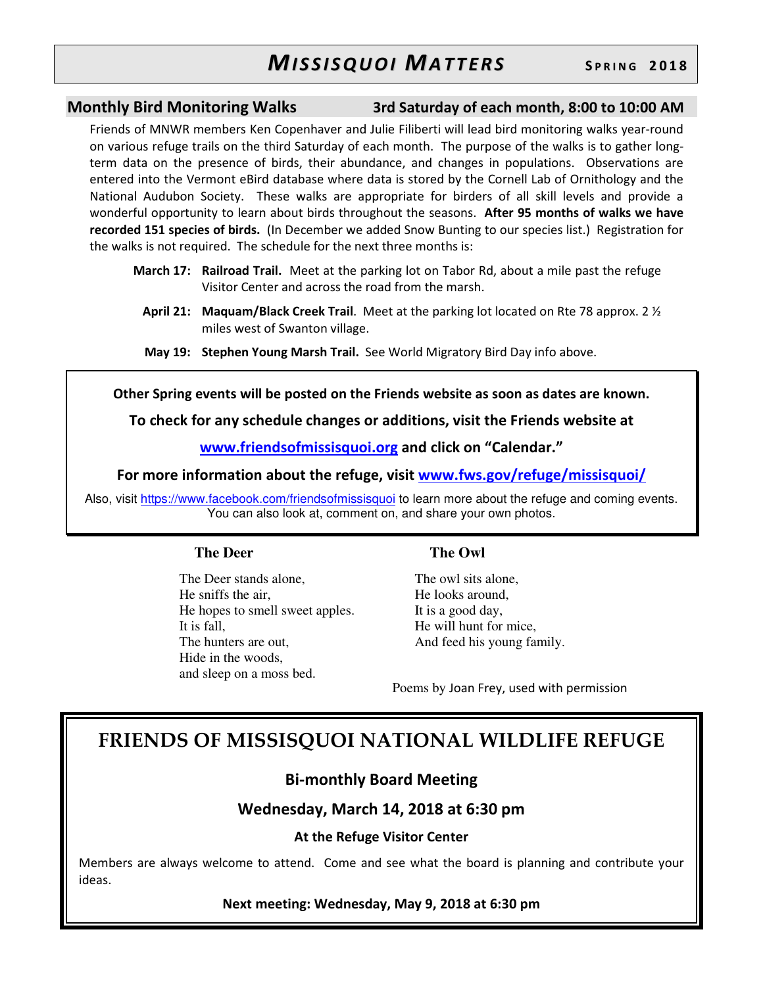**Monthly Bird Monitoring Walks 3rd Saturday of each month, 8:00 to 10:00 AM**

Friends of MNWR members Ken Copenhaver and Julie Filiberti will lead bird monitoring walks year-round on various refuge trails on the third Saturday of each month. The purpose of the walks is to gather longterm data on the presence of birds, their abundance, and changes in populations. Observations are entered into the Vermont eBird database where data is stored by the Cornell Lab of Ornithology and the National Audubon Society. These walks are appropriate for birders of all skill levels and provide a wonderful opportunity to learn about birds throughout the seasons. **After 95 months of walks we have recorded 151 species of birds.** (In December we added Snow Bunting to our species list.) Registration for the walks is not required. The schedule for the next three months is:

- **March 17: Railroad Trail.** Meet at the parking lot on Tabor Rd, about a mile past the refuge Visitor Center and across the road from the marsh.
	- **April 21: Maquam/Black Creek Trail**. Meet at the parking lot located on Rte 78 approx. 2 ½ miles west of Swanton village.
	- **May 19: Stephen Young Marsh Trail.** See World Migratory Bird Day info above.

**Other Spring events will be posted on the Friends website as soon as dates are known.** 

**To check for any schedule changes or additions, visit the Friends website at** 

**www.friendsofmissisquoi.org and click on "Calendar."** 

**For more information about the refuge, visit www.fws.gov/refuge/missisquoi/**

Also, visit https://www.facebook.com/friendsofmissisquoi to learn more about the refuge and coming events. You can also look at, comment on, and share your own photos.

### **The Deer**

The Deer stands alone, He sniffs the air, He hopes to smell sweet apples. It is fall, The hunters are out, Hide in the woods, and sleep on a moss bed.

### **The Owl**

The owl sits alone, He looks around, It is a good day, He will hunt for mice, And feed his young family.

Poems by Joan Frey, used with permission

## **FRIENDS OF MISSISQUOI NATIONAL WILDLIFE REFUGE**

## **Bi-monthly Board Meeting**

**Wednesday, March 14, 2018 at 6:30 pm** 

### **At the Refuge Visitor Center**

Members are always welcome to attend. Come and see what the board is planning and contribute your ideas.

### **Next meeting: Wednesday, May 9, 2018 at 6:30 pm**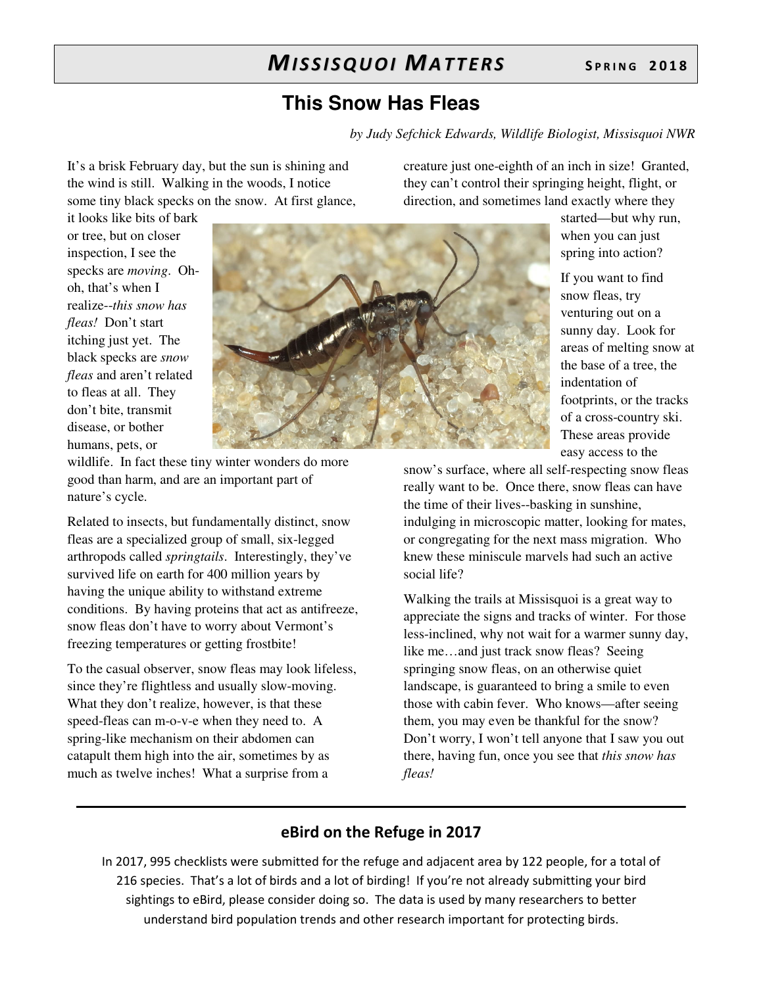## **This Snow Has Fleas**

*by Judy Sefchick Edwards, Wildlife Biologist, Missisquoi NWR* 

It's a brisk February day, but the sun is shining and the wind is still. Walking in the woods, I notice some tiny black specks on the snow. At first glance, creature just one-eighth of an inch in size! Granted, they can't control their springing height, flight, or direction, and sometimes land exactly where they

> started—but why run, when you can just spring into action?

If you want to find snow fleas, try venturing out on a sunny day. Look for areas of melting snow at the base of a tree, the indentation of footprints, or the tracks of a cross-country ski. These areas provide easy access to the

snow's surface, where all self-respecting snow fleas really want to be. Once there, snow fleas can have the time of their lives--basking in sunshine, indulging in microscopic matter, looking for mates, or congregating for the next mass migration. Who knew these miniscule marvels had such an active social life?

Walking the trails at Missisquoi is a great way to appreciate the signs and tracks of winter. For those less-inclined, why not wait for a warmer sunny day, like me…and just track snow fleas? Seeing springing snow fleas, on an otherwise quiet landscape, is guaranteed to bring a smile to even those with cabin fever. Who knows—after seeing them, you may even be thankful for the snow? Don't worry, I won't tell anyone that I saw you out there, having fun, once you see that *this snow has fleas!*

## **eBird on the Refuge in 2017**

In 2017, 995 checklists were submitted for the refuge and adjacent area by 122 people, for a total of 216 species. That's a lot of birds and a lot of birding! If you're not already submitting your bird sightings to eBird, please consider doing so. The data is used by many researchers to better understand bird population trends and other research important for protecting birds.

it looks like bits of bark or tree, but on closer inspection, I see the specks are *moving*. Ohoh, that's when I realize--*this snow has fleas!* Don't start itching just yet. The black specks are *snow fleas* and aren't related to fleas at all. They don't bite, transmit disease, or bother humans, pets, or



wildlife. In fact these tiny winter wonders do more good than harm, and are an important part of nature's cycle.

Related to insects, but fundamentally distinct, snow fleas are a specialized group of small, six-legged arthropods called *springtails*. Interestingly, they've survived life on earth for 400 million years by having the unique ability to withstand extreme conditions. By having proteins that act as antifreeze, snow fleas don't have to worry about Vermont's freezing temperatures or getting frostbite!

To the casual observer, snow fleas may look lifeless, since they're flightless and usually slow-moving. What they don't realize, however, is that these speed-fleas can m-o-v-e when they need to. A spring-like mechanism on their abdomen can catapult them high into the air, sometimes by as much as twelve inches! What a surprise from a